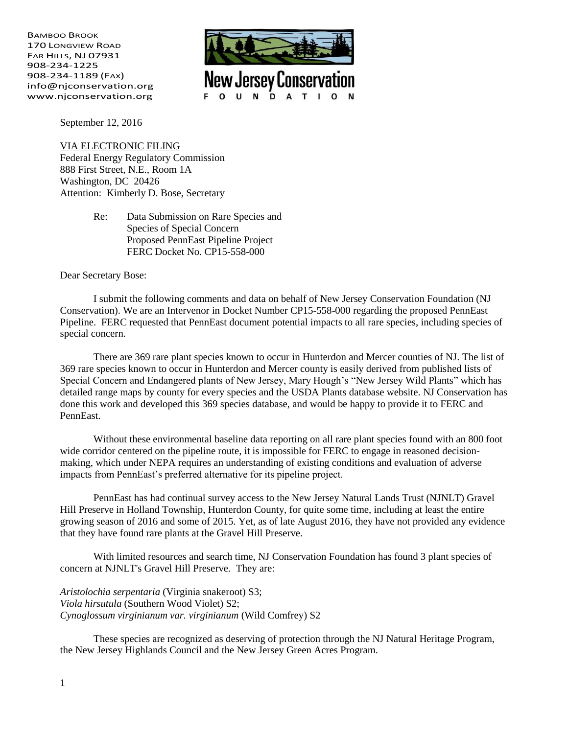BAMBOO BROOK 170 LONGVIEW ROAD FAR HILLS, NJ 07931 908-234-1225 908-234-1189 (FAX) info@njconservation.org www.njconservation.org



September 12, 2016

VIA ELECTRONIC FILING Federal Energy Regulatory Commission 888 First Street, N.E., Room 1A Washington, DC 20426 Attention: Kimberly D. Bose, Secretary

> Re: Data Submission on Rare Species and Species of Special Concern Proposed PennEast Pipeline Project FERC Docket No. CP15-558-000

Dear Secretary Bose:

I submit the following comments and data on behalf of New Jersey Conservation Foundation (NJ Conservation). We are an Intervenor in Docket Number CP15-558-000 regarding the proposed PennEast Pipeline. FERC requested that PennEast document potential impacts to all rare species, including species of special concern.

There are 369 rare plant species known to occur in Hunterdon and Mercer counties of NJ. The list of 369 rare species known to occur in Hunterdon and Mercer county is easily derived from published lists of Special Concern and Endangered plants of New Jersey, Mary Hough's "New Jersey Wild Plants" which has detailed range maps by county for every species and the USDA Plants database website. NJ Conservation has done this work and developed this 369 species database, and would be happy to provide it to FERC and PennEast.

Without these environmental baseline data reporting on all rare plant species found with an 800 foot wide corridor centered on the pipeline route, it is impossible for FERC to engage in reasoned decisionmaking, which under NEPA requires an understanding of existing conditions and evaluation of adverse impacts from PennEast's preferred alternative for its pipeline project.

PennEast has had continual survey access to the New Jersey Natural Lands Trust (NJNLT) Gravel Hill Preserve in Holland Township, Hunterdon County, for quite some time, including at least the entire growing season of 2016 and some of 2015. Yet, as of late August 2016, they have not provided any evidence that they have found rare plants at the Gravel Hill Preserve.

With limited resources and search time, NJ Conservation Foundation has found 3 plant species of concern at NJNLT's Gravel Hill Preserve. They are:

*Aristolochia serpentaria* (Virginia snakeroot) S3; *Viola hirsutula* (Southern Wood Violet) S2; *Cynoglossum virginianum var. virginianum* (Wild Comfrey) S2

These species are recognized as deserving of protection through the NJ Natural Heritage Program, the New Jersey Highlands Council and the New Jersey Green Acres Program.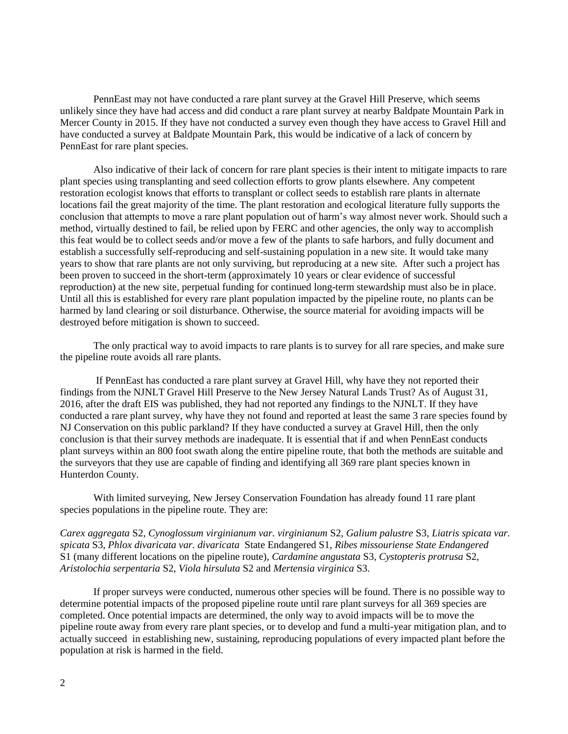PennEast may not have conducted a rare plant survey at the Gravel Hill Preserve, which seems unlikely since they have had access and did conduct a rare plant survey at nearby Baldpate Mountain Park in Mercer County in 2015. If they have not conducted a survey even though they have access to Gravel Hill and have conducted a survey at Baldpate Mountain Park, this would be indicative of a lack of concern by PennEast for rare plant species.

Also indicative of their lack of concern for rare plant species is their intent to mitigate impacts to rare plant species using transplanting and seed collection efforts to grow plants elsewhere. Any competent restoration ecologist knows that efforts to transplant or collect seeds to establish rare plants in alternate locations fail the great majority of the time. The plant restoration and ecological literature fully supports the conclusion that attempts to move a rare plant population out of harm's way almost never work. Should such a method, virtually destined to fail, be relied upon by FERC and other agencies, the only way to accomplish this feat would be to collect seeds and/or move a few of the plants to safe harbors, and fully document and establish a successfully self-reproducing and self-sustaining population in a new site. It would take many years to show that rare plants are not only surviving, but reproducing at a new site. After such a project has been proven to succeed in the short-term (approximately 10 years or clear evidence of successful reproduction) at the new site, perpetual funding for continued long-term stewardship must also be in place. Until all this is established for every rare plant population impacted by the pipeline route, no plants can be harmed by land clearing or soil disturbance. Otherwise, the source material for avoiding impacts will be destroyed before mitigation is shown to succeed.

The only practical way to avoid impacts to rare plants is to survey for all rare species, and make sure the pipeline route avoids all rare plants.

If PennEast has conducted a rare plant survey at Gravel Hill, why have they not reported their findings from the NJNLT Gravel Hill Preserve to the New Jersey Natural Lands Trust? As of August 31, 2016, after the draft EIS was published, they had not reported any findings to the NJNLT. If they have conducted a rare plant survey, why have they not found and reported at least the same 3 rare species found by NJ Conservation on this public parkland? If they have conducted a survey at Gravel Hill, then the only conclusion is that their survey methods are inadequate. It is essential that if and when PennEast conducts plant surveys within an 800 foot swath along the entire pipeline route, that both the methods are suitable and the surveyors that they use are capable of finding and identifying all 369 rare plant species known in Hunterdon County.

With limited surveying, New Jersey Conservation Foundation has already found 11 rare plant species populations in the pipeline route. They are:

*Carex aggregata* S2, *Cynoglossum virginianum var. virginianum* S2, *Galium palustre* S3, *Liatris spicata var. spicata* S3, *Phlox divaricata var. divaricata* State Endangered S1, *Ribes missouriense State Endangered* S1 (many different locations on the pipeline route), *Cardamine angustata* S3, *Cystopteris protrusa* S2, *Aristolochia serpentaria* S2, *Viola hirsuluta* S2 and *Mertensia virginica* S3.

If proper surveys were conducted, numerous other species will be found. There is no possible way to determine potential impacts of the proposed pipeline route until rare plant surveys for all 369 species are completed. Once potential impacts are determined, the only way to avoid impacts will be to move the pipeline route away from every rare plant species, or to develop and fund a multi-year mitigation plan, and to actually succeed in establishing new, sustaining, reproducing populations of every impacted plant before the population at risk is harmed in the field.